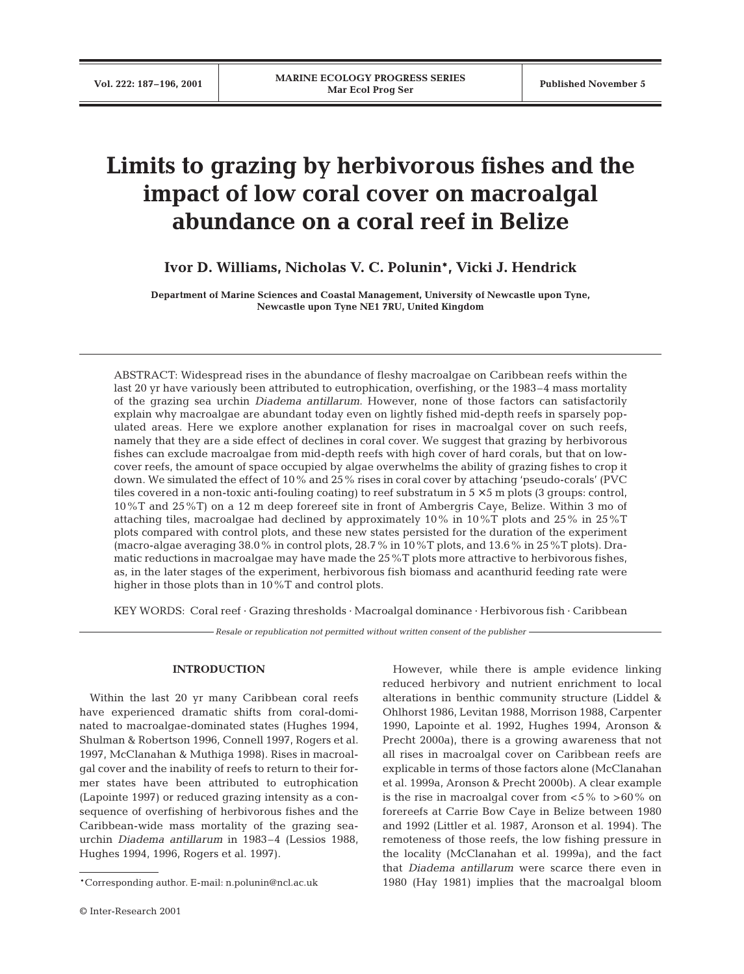# **Limits to grazing by herbivorous fishes and the impact of low coral cover on macroalgal abundance on a coral reef in Belize**

# **Ivor D. Williams, Nicholas V. C. Polunin\*, Vicki J. Hendrick**

**Department of Marine Sciences and Coastal Management, University of Newcastle upon Tyne, Newcastle upon Tyne NE1 7RU, United Kingdom**

ABSTRACT: Widespread rises in the abundance of fleshy macroalgae on Caribbean reefs within the last 20 yr have variously been attributed to eutrophication, overfishing, or the 1983–4 mass mortality of the grazing sea urchin *Diadema antillarum*. However, none of those factors can satisfactorily explain why macroalgae are abundant today even on lightly fished mid-depth reefs in sparsely populated areas. Here we explore another explanation for rises in macroalgal cover on such reefs, namely that they are a side effect of declines in coral cover. We suggest that grazing by herbivorous fishes can exclude macroalgae from mid-depth reefs with high cover of hard corals, but that on lowcover reefs, the amount of space occupied by algae overwhelms the ability of grazing fishes to crop it down. We simulated the effect of 10% and 25% rises in coral cover by attaching 'pseudo-corals' (PVC tiles covered in a non-toxic anti-fouling coating) to reef substratum in  $5 \times 5$  m plots (3 groups: control, 10%T and 25%T) on a 12 m deep forereef site in front of Ambergris Caye, Belize. Within 3 mo of attaching tiles, macroalgae had declined by approximately 10% in 10%T plots and 25% in 25%T plots compared with control plots, and these new states persisted for the duration of the experiment (macro-algae averaging 38.0% in control plots, 28.7% in 10%T plots, and 13.6% in 25%T plots). Dramatic reductions in macroalgae may have made the 25%T plots more attractive to herbivorous fishes, as, in the later stages of the experiment, herbivorous fish biomass and acanthurid feeding rate were higher in those plots than in 10%T and control plots.

KEY WORDS: Coral reef · Grazing thresholds · Macroalgal dominance · Herbivorous fish · Caribbean

*Resale or republication not permitted without written consent of the publisher*

#### **INTRODUCTION**

Within the last 20 yr many Caribbean coral reefs have experienced dramatic shifts from coral-dominated to macroalgae-dominated states (Hughes 1994, Shulman & Robertson 1996, Connell 1997, Rogers et al. 1997, McClanahan & Muthiga 1998). Rises in macroalgal cover and the inability of reefs to return to their former states have been attributed to eutrophication (Lapointe 1997) or reduced grazing intensity as a consequence of overfishing of herbivorous fishes and the Caribbean-wide mass mortality of the grazing seaurchin *Diadema antillarum* in 1983–4 (Lessios 1988, Hughes 1994, 1996, Rogers et al. 1997).

However, while there is ample evidence linking reduced herbivory and nutrient enrichment to local alterations in benthic community structure (Liddel & Ohlhorst 1986, Levitan 1988, Morrison 1988, Carpenter 1990, Lapointe et al. 1992, Hughes 1994, Aronson & Precht 2000a), there is a growing awareness that not all rises in macroalgal cover on Caribbean reefs are explicable in terms of those factors alone (McClanahan et al. 1999a, Aronson & Precht 2000b). A clear example is the rise in macroalgal cover from  $< 5\%$  to  $> 60\%$  on forereefs at Carrie Bow Caye in Belize between 1980 and 1992 (Littler et al. 1987, Aronson et al. 1994). The remoteness of those reefs, the low fishing pressure in the locality (McClanahan et al. 1999a), and the fact that *Diadema antillarum* were scarce there even in 1980 (Hay 1981) implies that the macroalgal bloom

<sup>\*</sup>Corresponding author. E-mail: n.polunin@ncl.ac.uk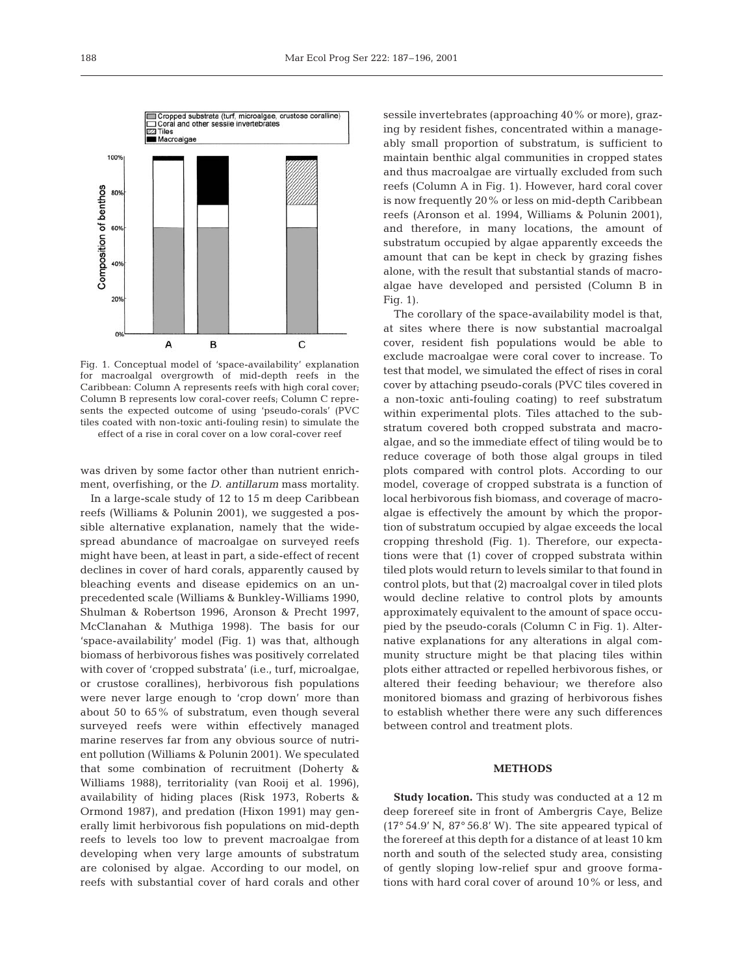

Fig. 1. Conceptual model of 'space-availability' explanation for macroalgal overgrowth of mid-depth reefs in the Caribbean: Column A represents reefs with high coral cover; Column B represents low coral-cover reefs; Column C represents the expected outcome of using 'pseudo-corals' (PVC tiles coated with non-toxic anti-fouling resin) to simulate the effect of a rise in coral cover on a low coral-cover reef

was driven by some factor other than nutrient enrichment, overfishing, or the *D. antillarum* mass mortality.

In a large-scale study of 12 to 15 m deep Caribbean reefs (Williams & Polunin 2001), we suggested a possible alternative explanation, namely that the widespread abundance of macroalgae on surveyed reefs might have been, at least in part, a side-effect of recent declines in cover of hard corals, apparently caused by bleaching events and disease epidemics on an unprecedented scale (Williams & Bunkley-Williams 1990, Shulman & Robertson 1996, Aronson & Precht 1997, McClanahan & Muthiga 1998). The basis for our 'space-availability' model (Fig. 1) was that, although biomass of herbivorous fishes was positively correlated with cover of 'cropped substrata' (i.e., turf, microalgae, or crustose corallines), herbivorous fish populations were never large enough to 'crop down' more than about 50 to 65% of substratum, even though several surveyed reefs were within effectively managed marine reserves far from any obvious source of nutrient pollution (Williams & Polunin 2001). We speculated that some combination of recruitment (Doherty & Williams 1988), territoriality (van Rooij et al. 1996), availability of hiding places (Risk 1973, Roberts & Ormond 1987), and predation (Hixon 1991) may generally limit herbivorous fish populations on mid-depth reefs to levels too low to prevent macroalgae from developing when very large amounts of substratum are colonised by algae. According to our model, on reefs with substantial cover of hard corals and other

sessile invertebrates (approaching 40% or more), grazing by resident fishes, concentrated within a manageably small proportion of substratum, is sufficient to maintain benthic algal communities in cropped states and thus macroalgae are virtually excluded from such reefs (Column A in Fig. 1). However, hard coral cover is now frequently 20% or less on mid-depth Caribbean reefs (Aronson et al. 1994, Williams & Polunin 2001), and therefore, in many locations, the amount of substratum occupied by algae apparently exceeds the amount that can be kept in check by grazing fishes alone, with the result that substantial stands of macroalgae have developed and persisted (Column B in Fig. 1).

The corollary of the space-availability model is that, at sites where there is now substantial macroalgal cover, resident fish populations would be able to exclude macroalgae were coral cover to increase. To test that model, we simulated the effect of rises in coral cover by attaching pseudo-corals (PVC tiles covered in a non-toxic anti-fouling coating) to reef substratum within experimental plots. Tiles attached to the substratum covered both cropped substrata and macroalgae, and so the immediate effect of tiling would be to reduce coverage of both those algal groups in tiled plots compared with control plots. According to our model, coverage of cropped substrata is a function of local herbivorous fish biomass, and coverage of macroalgae is effectively the amount by which the proportion of substratum occupied by algae exceeds the local cropping threshold (Fig. 1). Therefore, our expectations were that (1) cover of cropped substrata within tiled plots would return to levels similar to that found in control plots, but that (2) macroalgal cover in tiled plots would decline relative to control plots by amounts approximately equivalent to the amount of space occupied by the pseudo-corals (Column C in Fig. 1). Alternative explanations for any alterations in algal community structure might be that placing tiles within plots either attracted or repelled herbivorous fishes, or altered their feeding behaviour; we therefore also monitored biomass and grazing of herbivorous fishes to establish whether there were any such differences between control and treatment plots.

#### **METHODS**

**Study location.** This study was conducted at a 12 m deep forereef site in front of Ambergris Caye, Belize (17° 54.9' N, 87° 56.8' W). The site appeared typical of the forereef at this depth for a distance of at least 10 km north and south of the selected study area, consisting of gently sloping low-relief spur and groove formations with hard coral cover of around 10% or less, and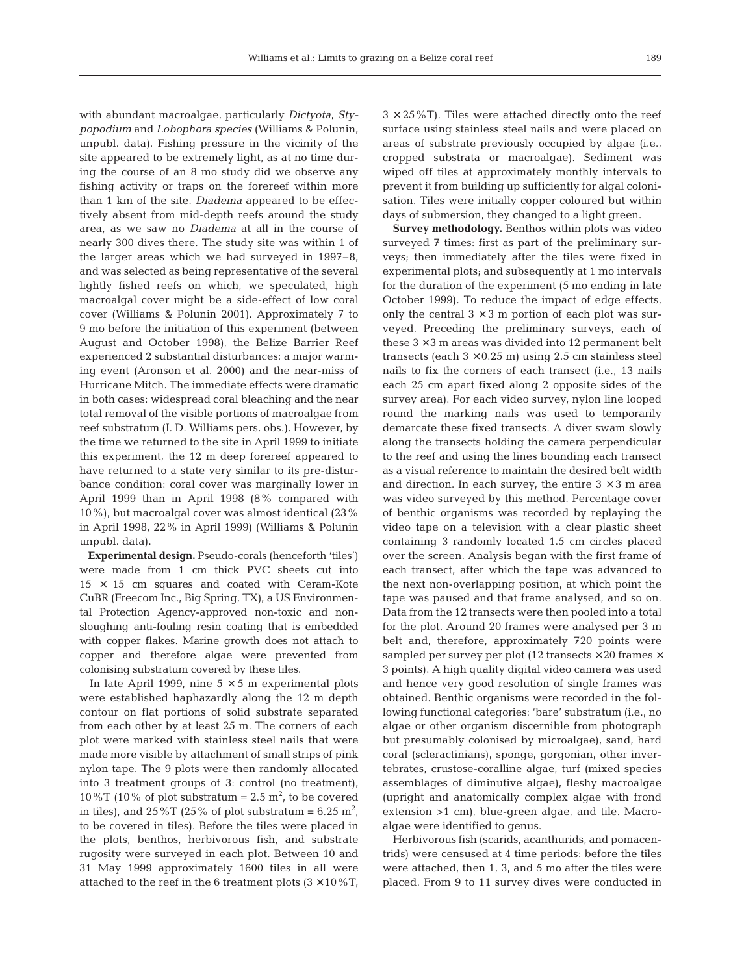with abundant macroalgae, particularly *Dictyota*, *Stypopodium* and *Lobophora species* (Williams & Polunin, unpubl. data). Fishing pressure in the vicinity of the site appeared to be extremely light, as at no time during the course of an 8 mo study did we observe any fishing activity or traps on the forereef within more than 1 km of the site. *Diadema* appeared to be effectively absent from mid-depth reefs around the study area, as we saw no *Diadema* at all in the course of nearly 300 dives there. The study site was within 1 of the larger areas which we had surveyed in 1997–8, and was selected as being representative of the several lightly fished reefs on which, we speculated, high macroalgal cover might be a side-effect of low coral cover (Williams & Polunin 2001). Approximately 7 to 9 mo before the initiation of this experiment (between August and October 1998), the Belize Barrier Reef experienced 2 substantial disturbances: a major warming event (Aronson et al. 2000) and the near-miss of Hurricane Mitch. The immediate effects were dramatic in both cases: widespread coral bleaching and the near total removal of the visible portions of macroalgae from reef substratum (I. D. Williams pers. obs.). However, by the time we returned to the site in April 1999 to initiate this experiment, the 12 m deep forereef appeared to have returned to a state very similar to its pre-disturbance condition: coral cover was marginally lower in April 1999 than in April 1998 (8% compared with 10%), but macroalgal cover was almost identical (23% in April 1998, 22% in April 1999) (Williams & Polunin unpubl. data).

**Experimental design.** Pseudo-corals (henceforth 'tiles') were made from 1 cm thick PVC sheets cut into  $15 \times 15$  cm squares and coated with Ceram-Kote CuBR (Freecom Inc., Big Spring, TX), a US Environmental Protection Agency-approved non-toxic and nonsloughing anti-fouling resin coating that is embedded with copper flakes. Marine growth does not attach to copper and therefore algae were prevented from colonising substratum covered by these tiles.

In late April 1999, nine  $5 \times 5$  m experimental plots were established haphazardly along the 12 m depth contour on flat portions of solid substrate separated from each other by at least 25 m. The corners of each plot were marked with stainless steel nails that were made more visible by attachment of small strips of pink nylon tape. The 9 plots were then randomly allocated into 3 treatment groups of 3: control (no treatment), 10%T (10% of plot substratum =  $2.5$  m<sup>2</sup>, to be covered in tiles), and  $25\,\mathrm{\%T}$  (25  $\%$  of plot substratum = 6.25  $\mathrm{m}^2$ , to be covered in tiles). Before the tiles were placed in the plots, benthos, herbivorous fish, and substrate rugosity were surveyed in each plot. Between 10 and 31 May 1999 approximately 1600 tiles in all were attached to the reef in the 6 treatment plots  $(3 \times 10\%T)$ ,

 $3 \times 25\%$ T). Tiles were attached directly onto the reef surface using stainless steel nails and were placed on areas of substrate previously occupied by algae (i.e., cropped substrata or macroalgae). Sediment was wiped off tiles at approximately monthly intervals to prevent it from building up sufficiently for algal colonisation. Tiles were initially copper coloured but within days of submersion, they changed to a light green.

**Survey methodology.** Benthos within plots was video surveyed 7 times: first as part of the preliminary surveys; then immediately after the tiles were fixed in experimental plots; and subsequently at 1 mo intervals for the duration of the experiment (5 mo ending in late October 1999). To reduce the impact of edge effects, only the central  $3 \times 3$  m portion of each plot was surveyed. Preceding the preliminary surveys, each of these  $3 \times 3$  m areas was divided into 12 permanent belt transects (each  $3 \times 0.25$  m) using 2.5 cm stainless steel nails to fix the corners of each transect (i.e., 13 nails each 25 cm apart fixed along 2 opposite sides of the survey area). For each video survey, nylon line looped round the marking nails was used to temporarily demarcate these fixed transects. A diver swam slowly along the transects holding the camera perpendicular to the reef and using the lines bounding each transect as a visual reference to maintain the desired belt width and direction. In each survey, the entire  $3 \times 3$  m area was video surveyed by this method. Percentage cover of benthic organisms was recorded by replaying the video tape on a television with a clear plastic sheet containing 3 randomly located 1.5 cm circles placed over the screen. Analysis began with the first frame of each transect, after which the tape was advanced to the next non-overlapping position, at which point the tape was paused and that frame analysed, and so on. Data from the 12 transects were then pooled into a total for the plot. Around 20 frames were analysed per 3 m belt and, therefore, approximately 720 points were sampled per survey per plot (12 transects  $\times$  20 frames  $\times$ 3 points). A high quality digital video camera was used and hence very good resolution of single frames was obtained. Benthic organisms were recorded in the following functional categories: 'bare' substratum (i.e., no algae or other organism discernible from photograph but presumably colonised by microalgae), sand, hard coral (scleractinians), sponge, gorgonian, other invertebrates, crustose-coralline algae, turf (mixed species assemblages of diminutive algae), fleshy macroalgae (upright and anatomically complex algae with frond extension >1 cm), blue-green algae, and tile. Macroalgae were identified to genus.

Herbivorous fish (scarids, acanthurids, and pomacentrids) were censused at 4 time periods: before the tiles were attached, then 1, 3, and 5 mo after the tiles were placed. From 9 to 11 survey dives were conducted in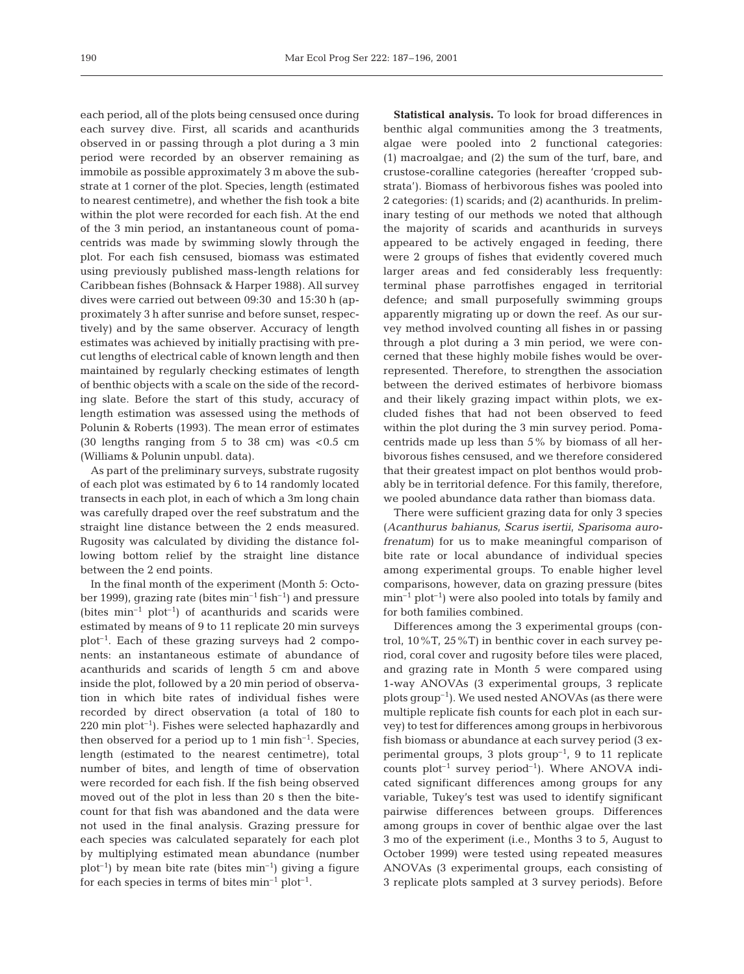each period, all of the plots being censused once during each survey dive. First, all scarids and acanthurids observed in or passing through a plot during a 3 min period were recorded by an observer remaining as immobile as possible approximately 3 m above the substrate at 1 corner of the plot. Species, length (estimated to nearest centimetre), and whether the fish took a bite within the plot were recorded for each fish. At the end of the 3 min period, an instantaneous count of pomacentrids was made by swimming slowly through the plot. For each fish censused, biomass was estimated using previously published mass-length relations for Caribbean fishes (Bohnsack & Harper 1988). All survey dives were carried out between 09:30 and 15:30 h (approximately 3 h after sunrise and before sunset, respectively) and by the same observer. Accuracy of length estimates was achieved by initially practising with precut lengths of electrical cable of known length and then maintained by regularly checking estimates of length of benthic objects with a scale on the side of the recording slate. Before the start of this study, accuracy of length estimation was assessed using the methods of Polunin & Roberts (1993). The mean error of estimates (30 lengths ranging from  $5$  to 38 cm) was  $< 0.5$  cm (Williams & Polunin unpubl. data).

As part of the preliminary surveys, substrate rugosity of each plot was estimated by 6 to 14 randomly located transects in each plot, in each of which a 3m long chain was carefully draped over the reef substratum and the straight line distance between the 2 ends measured. Rugosity was calculated by dividing the distance following bottom relief by the straight line distance between the 2 end points.

In the final month of the experiment (Month 5: October 1999), grazing rate (bites  $min^{-1}fish^{-1}$ ) and pressure (bites  $min^{-1} plot^{-1}$ ) of acanthurids and scarids were estimated by means of 9 to 11 replicate 20 min surveys  $plot^{-1}$ . Each of these grazing surveys had 2 components: an instantaneous estimate of abundance of acanthurids and scarids of length 5 cm and above inside the plot, followed by a 20 min period of observation in which bite rates of individual fishes were recorded by direct observation (a total of 180 to  $220 \text{ min plot}^{-1}$ . Fishes were selected haphazardly and then observed for a period up to 1 min fish<sup>-1</sup>. Species, length (estimated to the nearest centimetre), total number of bites, and length of time of observation were recorded for each fish. If the fish being observed moved out of the plot in less than 20 s then the bitecount for that fish was abandoned and the data were not used in the final analysis. Grazing pressure for each species was calculated separately for each plot by multiplying estimated mean abundance (number  $plot^{-1}$ ) by mean bite rate (bites min<sup>-1</sup>) giving a figure for each species in terms of bites  $min^{-1} plot^{-1}$ .

**Statistical analysis.** To look for broad differences in benthic algal communities among the 3 treatments, algae were pooled into 2 functional categories: (1) macroalgae; and (2) the sum of the turf, bare, and crustose-coralline categories (hereafter 'cropped substrata'). Biomass of herbivorous fishes was pooled into 2 categories: (1) scarids; and (2) acanthurids. In preliminary testing of our methods we noted that although the majority of scarids and acanthurids in surveys appeared to be actively engaged in feeding, there were 2 groups of fishes that evidently covered much larger areas and fed considerably less frequently: terminal phase parrotfishes engaged in territorial defence; and small purposefully swimming groups apparently migrating up or down the reef. As our survey method involved counting all fishes in or passing through a plot during a 3 min period, we were concerned that these highly mobile fishes would be overrepresented. Therefore, to strengthen the association between the derived estimates of herbivore biomass and their likely grazing impact within plots, we excluded fishes that had not been observed to feed within the plot during the 3 min survey period. Pomacentrids made up less than 5% by biomass of all herbivorous fishes censused, and we therefore considered that their greatest impact on plot benthos would probably be in territorial defence. For this family, therefore, we pooled abundance data rather than biomass data.

There were sufficient grazing data for only 3 species (*Acanthurus bahianus, Scarus isertii, Sparisoma aurofrenatum*) for us to make meaningful comparison of bite rate or local abundance of individual species among experimental groups. To enable higher level comparisons, however, data on grazing pressure (bites  $min^{-1} plot^{-1}$  were also pooled into totals by family and for both families combined.

Differences among the 3 experimental groups (control, 10%T, 25%T) in benthic cover in each survey period, coral cover and rugosity before tiles were placed, and grazing rate in Month 5 were compared using 1-way ANOVAs (3 experimental groups, 3 replicate plots group<sup>-1</sup>). We used nested ANOVAs (as there were multiple replicate fish counts for each plot in each survey) to test for differences among groups in herbivorous fish biomass or abundance at each survey period (3 experimental groups, 3 plots  $group^{-1}$ , 9 to 11 replicate counts  $plot^{-1}$  survey  $period^{-1}$ ). Where ANOVA indicated significant differences among groups for any variable, Tukey's test was used to identify significant pairwise differences between groups. Differences among groups in cover of benthic algae over the last 3 mo of the experiment (i.e., Months 3 to 5, August to October 1999) were tested using repeated measures ANOVAs (3 experimental groups, each consisting of 3 replicate plots sampled at 3 survey periods). Before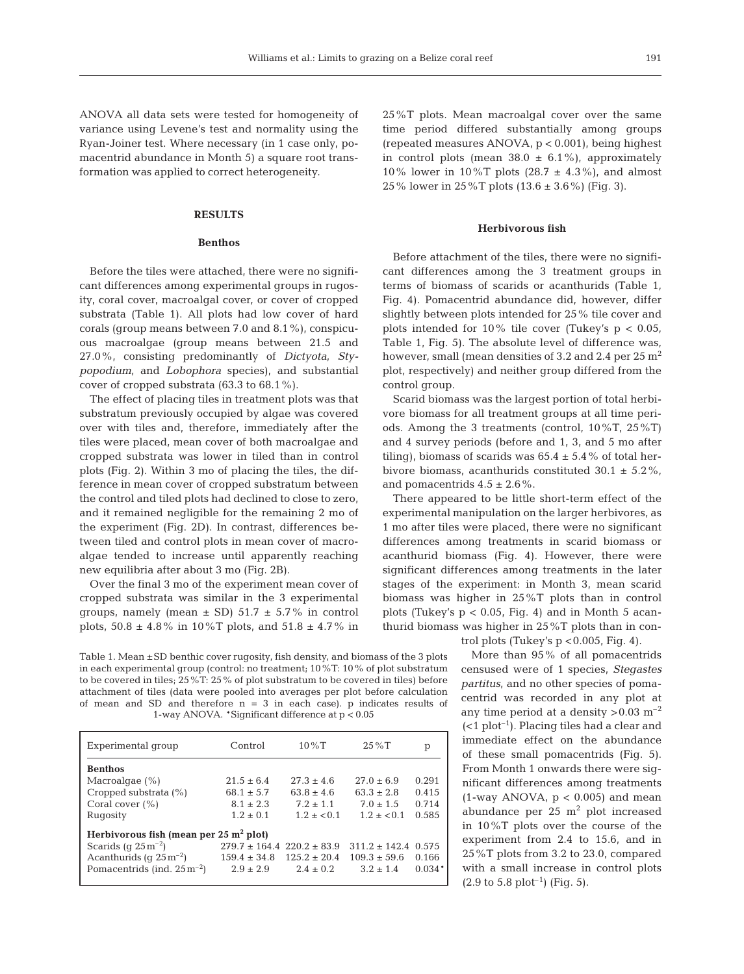ANOVA all data sets were tested for homogeneity of variance using Levene's test and normality using the Ryan-Joiner test. Where necessary (in 1 case only, pomacentrid abundance in Month 5) a square root transformation was applied to correct heterogeneity.

# **RESULTS**

# **Benthos**

Before the tiles were attached, there were no significant differences among experimental groups in rugosity, coral cover, macroalgal cover, or cover of cropped substrata (Table 1). All plots had low cover of hard corals (group means between 7.0 and 8.1%), conspicuous macroalgae (group means between 21.5 and 27.0%, consisting predominantly of *Dictyota, Stypopodium*, and *Lobophora* species), and substantial cover of cropped substrata (63.3 to 68.1%).

The effect of placing tiles in treatment plots was that substratum previously occupied by algae was covered over with tiles and, therefore, immediately after the tiles were placed, mean cover of both macroalgae and cropped substrata was lower in tiled than in control plots (Fig. 2). Within 3 mo of placing the tiles, the difference in mean cover of cropped substratum between the control and tiled plots had declined to close to zero, and it remained negligible for the remaining 2 mo of the experiment (Fig. 2D). In contrast, differences between tiled and control plots in mean cover of macroalgae tended to increase until apparently reaching new equilibria after about 3 mo (Fig. 2B).

Over the final 3 mo of the experiment mean cover of cropped substrata was similar in the 3 experimental groups, namely (mean  $\pm$  SD) 51.7  $\pm$  5.7% in control plots,  $50.8 \pm 4.8\%$  in  $10\%$ T plots, and  $51.8 \pm 4.7\%$  in

Table 1. Mean ±SD benthic cover rugosity, fish density, and biomass of the 3 plots in each experimental group (control: no treatment; 10%T: 10% of plot substratum to be covered in tiles; 25%T: 25% of plot substratum to be covered in tiles) before attachment of tiles (data were pooled into averages per plot before calculation of mean and SD and therefore  $n = 3$  in each case). p indicates results of 1-way ANOVA. \*Significant difference at p < 0.05

| Experimental group                                | Control                            | $10\%$ T         | $25\%T$          | р        |  |  |
|---------------------------------------------------|------------------------------------|------------------|------------------|----------|--|--|
| <b>Benthos</b>                                    |                                    |                  |                  |          |  |  |
| Macroalgae $(\%)$                                 | $21.5 \pm 6.4$                     | $27.3 + 4.6$     | $27.0 + 6.9$     | 0.291    |  |  |
| Cropped substrata (%)                             | $68.1 + 5.7$                       | $63.8 + 4.6$     | $63.3 \pm 2.8$   | 0.415    |  |  |
| Coral cover $(\% )$                               | $8.1 + 2.3$                        | $7.2 + 1.1$      | $7.0 \pm 1.5$    | 0.714    |  |  |
| Rugosity                                          | $1.2 \pm 0.1$                      | $1.2 + < 0.1$    | $1.2 + < 0.1$    | 0.585    |  |  |
| Herbivorous fish (mean per $25 \text{ m}^2$ plot) |                                    |                  |                  |          |  |  |
| Scarids (q $25 \text{ m}^{-2}$ )                  | $279.7 \pm 164.4$ 220.2 $\pm 83.9$ |                  | $311.2 + 142.4$  | 0.575    |  |  |
| Acanthurids (q $25 \text{ m}^{-2}$ )              | $159.4 \pm 34.8$                   | $125.2 \pm 20.4$ | $109.3 \pm 59.6$ | 0.166    |  |  |
| Pomacentrids (ind. $25 \text{ m}^{-2}$ )          | $2.9 + 2.9$                        | $2.4 + 0.2$      | $3.2 + 1.4$      | $0.034*$ |  |  |

25%T plots. Mean macroalgal cover over the same time period differed substantially among groups (repeated measures ANOVA,  $p < 0.001$ ), being highest in control plots (mean  $38.0 \pm 6.1\%$ ), approximately 10% lower in 10%T plots (28.7  $\pm$  4.3%), and almost 25% lower in 25%T plots (13.6 ± 3.6%) (Fig. 3).

### **Herbivorous fish**

Before attachment of the tiles, there were no significant differences among the 3 treatment groups in terms of biomass of scarids or acanthurids (Table 1, Fig. 4). Pomacentrid abundance did, however, differ slightly between plots intended for 25% tile cover and plots intended for  $10\%$  tile cover (Tukey's  $p < 0.05$ , Table 1, Fig. 5). The absolute level of difference was, however, small (mean densities of 3.2 and 2.4 per  $25 \text{ m}^2$ ) plot, respectively) and neither group differed from the control group.

Scarid biomass was the largest portion of total herbivore biomass for all treatment groups at all time periods. Among the 3 treatments (control, 10%T, 25%T) and 4 survey periods (before and 1, 3, and 5 mo after tiling), biomass of scarids was  $65.4 \pm 5.4$  % of total herbivore biomass, acanthurids constituted  $30.1 \pm 5.2\%$ , and pomacentrids  $4.5 \pm 2.6\%$ .

There appeared to be little short-term effect of the experimental manipulation on the larger herbivores, as 1 mo after tiles were placed, there were no significant differences among treatments in scarid biomass or acanthurid biomass (Fig. 4). However, there were significant differences among treatments in the later stages of the experiment: in Month 3, mean scarid biomass was higher in 25%T plots than in control plots (Tukey's  $p < 0.05$ , Fig. 4) and in Month 5 acanthurid biomass was higher in 25%T plots than in con-

trol plots (Tukey's  $p < 0.005$ , Fig. 4).

More than 95% of all pomacentrids censused were of 1 species, *Stegastes partitus*, and no other species of pomacentrid was recorded in any plot at any time period at a density  $> 0.03$  m<sup>-2</sup>  $(<1$  plot<sup>-1</sup>). Placing tiles had a clear and immediate effect on the abundance of these small pomacentrids (Fig. 5). From Month 1 onwards there were significant differences among treatments (1-way ANOVA,  $p < 0.005$ ) and mean abundance per  $25 \text{ m}^2$  plot increased in 10%T plots over the course of the experiment from 2.4 to 15.6, and in 25%T plots from 3.2 to 23.0, compared with a small increase in control plots  $(2.9 \text{ to } 5.8 \text{ plot}^{-1})$  (Fig. 5).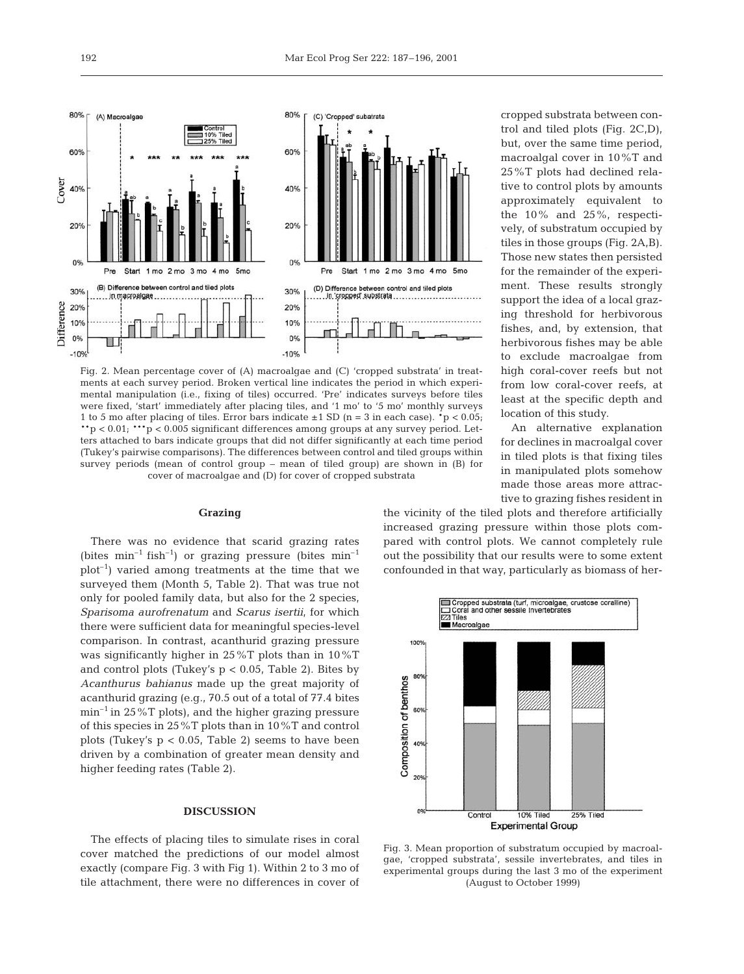

Fig. 2. Mean percentage cover of (A) macroalgae and (C) 'cropped substrata' in treatments at each survey period. Broken vertical line indicates the period in which experimental manipulation (i.e., fixing of tiles) occurred. 'Pre' indicates surveys before tiles were fixed, 'start' immediately after placing tiles, and '1 mo' to '5 mo' monthly surveys 1 to 5 mo after placing of tiles. Error bars indicate  $\pm$  1 SD (n = 3 in each case).  $\tau$   $> 0.05$ ; \*\*p < 0.01; \*\*\*p < 0.005 significant differences among groups at any survey period. Letters attached to bars indicate groups that did not differ significantly at each time period (Tukey's pairwise comparisons). The differences between control and tiled groups within survey periods (mean of control group – mean of tiled group) are shown in (B) for cover of macroalgae and (D) for cover of cropped substrata

#### **Grazing**

There was no evidence that scarid grazing rates (bites  $min^{-1}$  fish<sup>-1</sup>) or grazing pressure (bites  $min^{-1}$  $plot^{-1}$ ) varied among treatments at the time that we surveyed them (Month 5, Table 2). That was true not only for pooled family data, but also for the 2 species, *Sparisoma aurofrenatum* and *Scarus isertii*, for which there were sufficient data for meaningful species-level comparison. In contrast, acanthurid grazing pressure was significantly higher in 25%T plots than in 10%T and control plots (Tukey's  $p < 0.05$ , Table 2). Bites by *Acanthurus bahianus* made up the great majority of acanthurid grazing (e.g., 70.5 out of a total of 77.4 bites  $\min^{-1}$  in 25%T plots), and the higher grazing pressure of this species in 25%T plots than in 10%T and control plots (Tukey's  $p < 0.05$ , Table 2) seems to have been driven by a combination of greater mean density and higher feeding rates (Table 2).

# **DISCUSSION**

The effects of placing tiles to simulate rises in coral cover matched the predictions of our model almost exactly (compare Fig. 3 with Fig 1). Within 2 to 3 mo of tile attachment, there were no differences in cover of

cropped substrata between control and tiled plots (Fig. 2C,D), but, over the same time period, macroalgal cover in 10%T and 25%T plots had declined relative to control plots by amounts approximately equivalent to the 10% and 25%, respectively, of substratum occupied by tiles in those groups (Fig. 2A,B). Those new states then persisted for the remainder of the experiment. These results strongly support the idea of a local grazing threshold for herbivorous fishes, and, by extension, that herbivorous fishes may be able to exclude macroalgae from high coral-cover reefs but not from low coral-cover reefs, at least at the specific depth and location of this study.

An alternative explanation for declines in macroalgal cover in tiled plots is that fixing tiles in manipulated plots somehow made those areas more attractive to grazing fishes resident in

the vicinity of the tiled plots and therefore artificially increased grazing pressure within those plots compared with control plots. We cannot completely rule out the possibility that our results were to some extent confounded in that way, particularly as biomass of her-



Fig. 3. Mean proportion of substratum occupied by macroalgae, 'cropped substrata', sessile invertebrates, and tiles in experimental groups during the last 3 mo of the experiment (August to October 1999)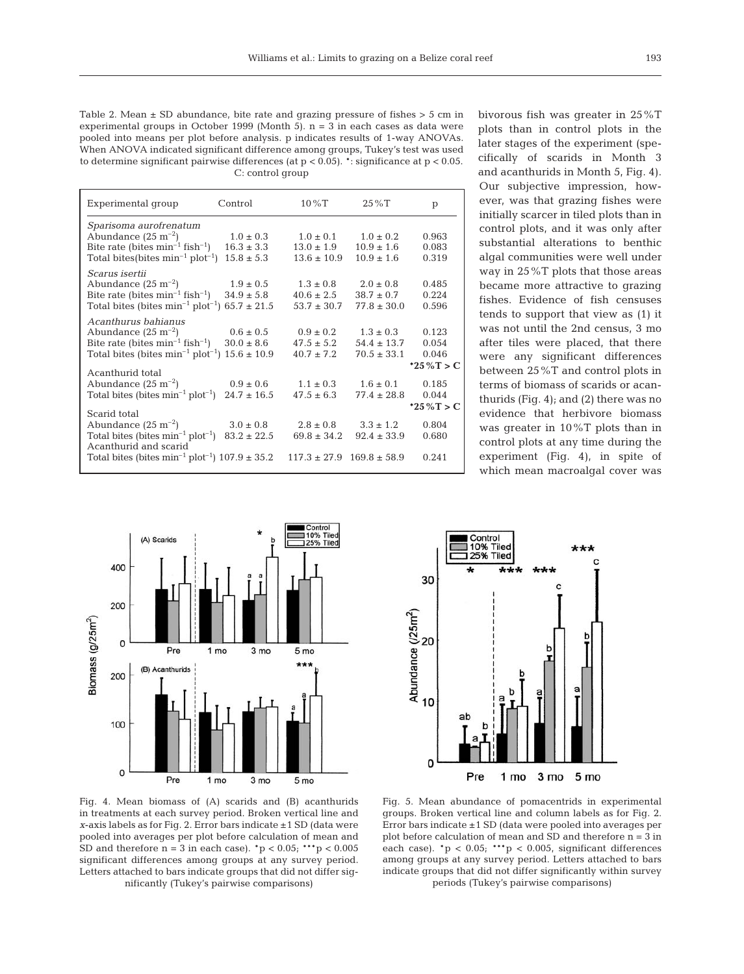Table 2. Mean  $\pm$  SD abundance, bite rate and grazing pressure of fishes  $>$  5 cm in experimental groups in October 1999 (Month 5).  $n = 3$  in each cases as data were pooled into means per plot before analysis. p indicates results of 1-way ANOVAs. When ANOVA indicated significant difference among groups, Tukey's test was used to determine significant pairwise differences (at  $p < 0.05$ ).  $*$ : significance at  $p < 0.05$ . C: control group

| Experimental group                                         | Control         | $10\%$ T        | $25\%T$                           | p           |
|------------------------------------------------------------|-----------------|-----------------|-----------------------------------|-------------|
| Sparisoma aurofrenatum                                     |                 |                 |                                   |             |
| Abundance $(25 \text{ m}^{-2})$                            | $1.0 \pm 0.3$   | $1.0 \pm 0.1$   | $1.0 \pm 0.2$                     | 0.963       |
| Bite rate (bites $min^{-1}$ fish <sup>-1</sup> )           | $16.3 \pm 3.3$  | $13.0 \pm 1.9$  | $10.9 \pm 1.6$                    | 0.083       |
| Total bites (bites $min^{-1} plot^{-1}$ )                  | $15.8 \pm 5.3$  | $13.6 \pm 10.9$ | $10.9 \pm 1.6$                    | 0.319       |
| Scarus isertii                                             |                 |                 |                                   |             |
| Abundance $(25 \text{ m}^{-2})$                            | $1.9 \pm 0.5$   | $1.3 \pm 0.8$   | $2.0 \pm 0.8$                     | 0.485       |
| Bite rate (bites $min^{-1}$ fish <sup>-1</sup> )           | $34.9 \pm 5.8$  | $40.6 \pm 2.5$  | $38.7 \pm 0.7$                    | 0.224       |
| Total bites (bites $min^{-1} plot^{-1}$ ) 65.7 ± 21.5      |                 | $53.7 \pm 30.7$ | $77.8 \pm 30.0$                   | 0.596       |
| Acanthurus bahianus                                        |                 |                 |                                   |             |
| Abundance $(25 \text{ m}^{-2})$                            | $0.6 \pm 0.5$   | $0.9 \pm 0.2$   | $1.3 \pm 0.3$                     | 0.123       |
| Bite rate (bites $min^{-1}$ fish <sup>-1</sup> )           | $30.0 \pm 8.6$  | $47.5 \pm 5.2$  | $54.4 \pm 13.7$                   | 0.054       |
| Total bites (bites $min^{-1} plot^{-1}$ )                  | $15.6 \pm 10.9$ | $40.7 \pm 7.2$  | $70.5 \pm 33.1$                   | 0.046       |
|                                                            |                 |                 |                                   | *25%T > C   |
| Acanthurid total<br>Abundance $(25 \text{ m}^{-2})$        | $0.9 \pm 0.6$   | $1.1 \pm 0.3$   | $1.6 \pm 0.1$                     | 0.185       |
| Total bites (bites $min^{-1} plot^{-1}$ )                  | $24.7 \pm 16.5$ | $47.5 \pm 6.3$  | $77.4 \pm 28.8$                   | 0.044       |
|                                                            |                 |                 |                                   | *25 % T > C |
| Scarid total                                               |                 |                 |                                   |             |
| Abundance $(25 \text{ m}^{-2})$                            | $3.0 \pm 0.8$   | $2.8 \pm 0.8$   | $3.3 \pm 1.2$                     | 0.804       |
| Total bites (bites $min^{-1} plot^{-1}$ )                  | $83.2 \pm 22.5$ | $69.8 \pm 34.2$ | $92.4 \pm 33.9$                   | 0.680       |
| Acanthurid and scarid                                      |                 |                 |                                   |             |
| Total bites (bites $min^{-1} plot^{-1}$ ) $107.9 \pm 35.2$ |                 |                 | $117.3 \pm 27.9$ $169.8 \pm 58.9$ | 0.241       |

bivorous fish was greater in 25%T plots than in control plots in the later stages of the experiment (specifically of scarids in Month 3 and acanthurids in Month 5, Fig. 4). Our subjective impression, however, was that grazing fishes were initially scarcer in tiled plots than in control plots, and it was only after substantial alterations to benthic algal communities were well under way in 25%T plots that those areas became more attractive to grazing fishes. Evidence of fish censuses tends to support that view as (1) it was not until the 2nd census, 3 mo after tiles were placed, that there were any significant differences between 25%T and control plots in terms of biomass of scarids or acanthurids (Fig. 4); and (2) there was no evidence that herbivore biomass was greater in 10%T plots than in control plots at any time during the experiment (Fig. 4), in spite of which mean macroalgal cover was





Fig. 4. Mean biomass of (A) scarids and (B) acanthurids in treatments at each survey period. Broken vertical line and *x*-axis labels as for Fig. 2. Error bars indicate ±1 SD (data were pooled into averages per plot before calculation of mean and SD and therefore  $n = 3$  in each case).  $\frac{1}{p} < 0.05$ ;  $\frac{1}{1}$   $\frac{1}{p} < 0.005$ significant differences among groups at any survey period. Letters attached to bars indicate groups that did not differ significantly (Tukey's pairwise comparisons)

Fig. 5. Mean abundance of pomacentrids in experimental groups. Broken vertical line and column labels as for Fig. 2. Error bars indicate ±1 SD (data were pooled into averages per plot before calculation of mean and SD and therefore n = 3 in each case).  $p < 0.05$ ;  $p > 0.005$ , significant differences among groups at any survey period. Letters attached to bars indicate groups that did not differ significantly within survey periods (Tukey's pairwise comparisons)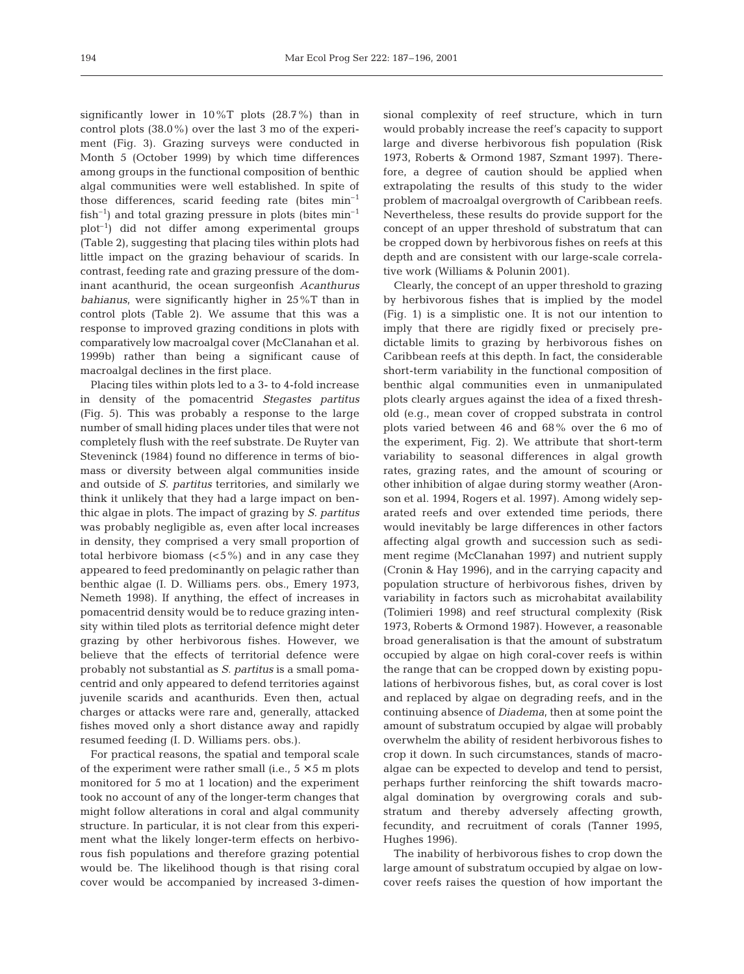significantly lower in 10%T plots (28.7%) than in control plots (38.0%) over the last 3 mo of the experiment (Fig. 3). Grazing surveys were conducted in Month 5 (October 1999) by which time differences among groups in the functional composition of benthic algal communities were well established. In spite of those differences, scarid feeding rate (bites  $min^{-1}$ fish<sup>-1</sup>) and total grazing pressure in plots (bites  $min^{-1}$  $plot^{-1}$ ) did not differ among experimental groups (Table 2), suggesting that placing tiles within plots had little impact on the grazing behaviour of scarids. In contrast, feeding rate and grazing pressure of the dominant acanthurid, the ocean surgeonfish *Acanthurus bahianus*, were significantly higher in 25%T than in control plots (Table 2). We assume that this was a response to improved grazing conditions in plots with comparatively low macroalgal cover (McClanahan et al. 1999b) rather than being a significant cause of macroalgal declines in the first place.

Placing tiles within plots led to a 3- to 4-fold increase in density of the pomacentrid *Stegastes partitus* (Fig. 5). This was probably a response to the large number of small hiding places under tiles that were not completely flush with the reef substrate. De Ruyter van Steveninck (1984) found no difference in terms of biomass or diversity between algal communities inside and outside of *S. partitus* territories, and similarly we think it unlikely that they had a large impact on benthic algae in plots. The impact of grazing by *S. partitus* was probably negligible as, even after local increases in density, they comprised a very small proportion of total herbivore biomass  $(5\%)$  and in any case they appeared to feed predominantly on pelagic rather than benthic algae (I. D. Williams pers. obs., Emery 1973, Nemeth 1998). If anything, the effect of increases in pomacentrid density would be to reduce grazing intensity within tiled plots as territorial defence might deter grazing by other herbivorous fishes. However, we believe that the effects of territorial defence were probably not substantial as *S. partitus* is a small pomacentrid and only appeared to defend territories against juvenile scarids and acanthurids. Even then, actual charges or attacks were rare and, generally, attacked fishes moved only a short distance away and rapidly resumed feeding (I. D. Williams pers. obs.).

For practical reasons, the spatial and temporal scale of the experiment were rather small (i.e.,  $5 \times 5$  m plots monitored for 5 mo at 1 location) and the experiment took no account of any of the longer-term changes that might follow alterations in coral and algal community structure. In particular, it is not clear from this experiment what the likely longer-term effects on herbivorous fish populations and therefore grazing potential would be. The likelihood though is that rising coral cover would be accompanied by increased 3-dimensional complexity of reef structure, which in turn would probably increase the reef's capacity to support large and diverse herbivorous fish population (Risk 1973, Roberts & Ormond 1987, Szmant 1997). Therefore, a degree of caution should be applied when extrapolating the results of this study to the wider problem of macroalgal overgrowth of Caribbean reefs. Nevertheless, these results do provide support for the concept of an upper threshold of substratum that can be cropped down by herbivorous fishes on reefs at this depth and are consistent with our large-scale correlative work (Williams & Polunin 2001).

Clearly, the concept of an upper threshold to grazing by herbivorous fishes that is implied by the model (Fig. 1) is a simplistic one. It is not our intention to imply that there are rigidly fixed or precisely predictable limits to grazing by herbivorous fishes on Caribbean reefs at this depth. In fact, the considerable short-term variability in the functional composition of benthic algal communities even in unmanipulated plots clearly argues against the idea of a fixed threshold (e.g., mean cover of cropped substrata in control plots varied between 46 and 68% over the 6 mo of the experiment, Fig. 2). We attribute that short-term variability to seasonal differences in algal growth rates, grazing rates, and the amount of scouring or other inhibition of algae during stormy weather (Aronson et al. 1994, Rogers et al. 1997). Among widely separated reefs and over extended time periods, there would inevitably be large differences in other factors affecting algal growth and succession such as sediment regime (McClanahan 1997) and nutrient supply (Cronin & Hay 1996), and in the carrying capacity and population structure of herbivorous fishes, driven by variability in factors such as microhabitat availability (Tolimieri 1998) and reef structural complexity (Risk 1973, Roberts & Ormond 1987). However, a reasonable broad generalisation is that the amount of substratum occupied by algae on high coral-cover reefs is within the range that can be cropped down by existing populations of herbivorous fishes, but, as coral cover is lost and replaced by algae on degrading reefs, and in the continuing absence of *Diadema*, then at some point the amount of substratum occupied by algae will probably overwhelm the ability of resident herbivorous fishes to crop it down. In such circumstances, stands of macroalgae can be expected to develop and tend to persist, perhaps further reinforcing the shift towards macroalgal domination by overgrowing corals and substratum and thereby adversely affecting growth, fecundity, and recruitment of corals (Tanner 1995, Hughes 1996).

The inability of herbivorous fishes to crop down the large amount of substratum occupied by algae on lowcover reefs raises the question of how important the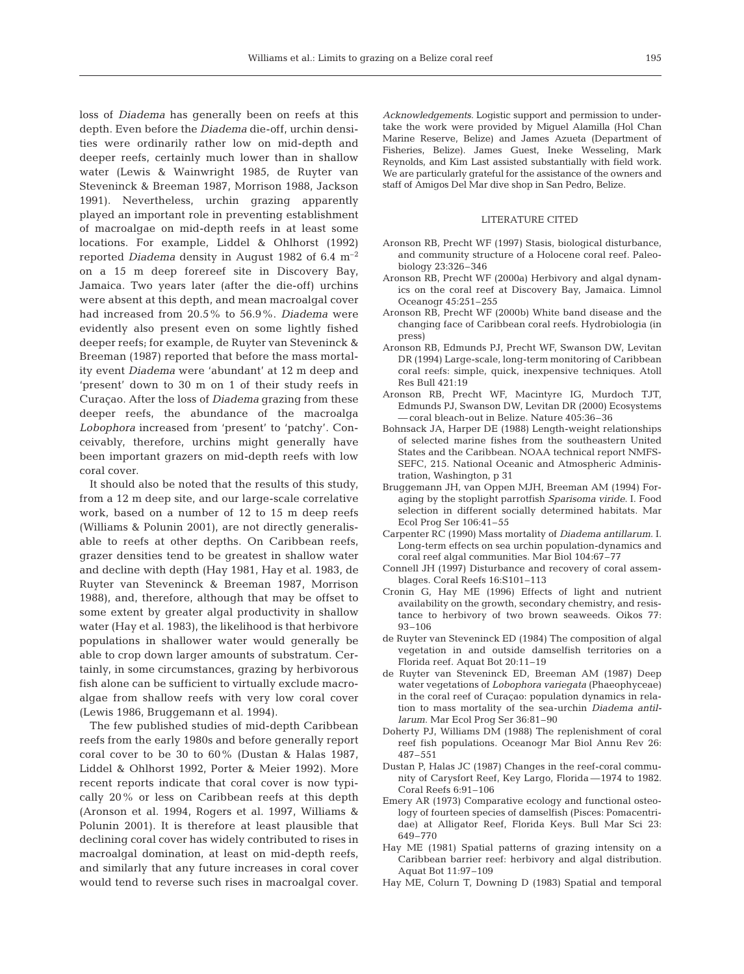loss of *Diadema* has generally been on reefs at this depth. Even before the *Diadema* die-off, urchin densities were ordinarily rather low on mid-depth and deeper reefs, certainly much lower than in shallow water (Lewis & Wainwright 1985, de Ruyter van Steveninck & Breeman 1987, Morrison 1988, Jackson 1991). Nevertheless, urchin grazing apparently played an important role in preventing establishment of macroalgae on mid-depth reefs in at least some locations. For example, Liddel & Ohlhorst (1992) reported *Diadema* density in August 1982 of 6.4 m–2 on a 15 m deep forereef site in Discovery Bay, Jamaica. Two years later (after the die-off) urchins were absent at this depth, and mean macroalgal cover had increased from 20.5% to 56.9%. *Diadema* were evidently also present even on some lightly fished deeper reefs; for example, de Ruyter van Steveninck & Breeman (1987) reported that before the mass mortality event *Diadema* were 'abundant' at 12 m deep and 'present' down to 30 m on 1 of their study reefs in Curaçao. After the loss of *Diadema* grazing from these deeper reefs, the abundance of the macroalga *Lobophora* increased from 'present' to 'patchy'. Conceivably, therefore, urchins might generally have been important grazers on mid-depth reefs with low coral cover.

It should also be noted that the results of this study, from a 12 m deep site, and our large-scale correlative work, based on a number of 12 to 15 m deep reefs (Williams & Polunin 2001), are not directly generalisable to reefs at other depths. On Caribbean reefs, grazer densities tend to be greatest in shallow water and decline with depth (Hay 1981, Hay et al. 1983, de Ruyter van Steveninck & Breeman 1987, Morrison 1988), and, therefore, although that may be offset to some extent by greater algal productivity in shallow water (Hay et al. 1983), the likelihood is that herbivore populations in shallower water would generally be able to crop down larger amounts of substratum. Certainly, in some circumstances, grazing by herbivorous fish alone can be sufficient to virtually exclude macroalgae from shallow reefs with very low coral cover (Lewis 1986, Bruggemann et al. 1994).

The few published studies of mid-depth Caribbean reefs from the early 1980s and before generally report coral cover to be 30 to 60% (Dustan & Halas 1987, Liddel & Ohlhorst 1992, Porter & Meier 1992). More recent reports indicate that coral cover is now typically 20% or less on Caribbean reefs at this depth (Aronson et al. 1994, Rogers et al. 1997, Williams & Polunin 2001). It is therefore at least plausible that declining coral cover has widely contributed to rises in macroalgal domination, at least on mid-depth reefs, and similarly that any future increases in coral cover would tend to reverse such rises in macroalgal cover.

*Acknowledgements.* Logistic support and permission to undertake the work were provided by Miguel Alamilla (Hol Chan Marine Reserve, Belize) and James Azueta (Department of Fisheries, Belize). James Guest, Ineke Wesseling, Mark Reynolds, and Kim Last assisted substantially with field work. We are particularly grateful for the assistance of the owners and staff of Amigos Del Mar dive shop in San Pedro, Belize.

#### LITERATURE CITED

- Aronson RB, Precht WF (1997) Stasis, biological disturbance, and community structure of a Holocene coral reef. Paleobiology 23:326–346
- Aronson RB, Precht WF (2000a) Herbivory and algal dynamics on the coral reef at Discovery Bay, Jamaica. Limnol Oceanogr 45:251–255
- Aronson RB, Precht WF (2000b) White band disease and the changing face of Caribbean coral reefs. Hydrobiologia (in press)
- Aronson RB, Edmunds PJ, Precht WF, Swanson DW, Levitan DR (1994) Large-scale, long-term monitoring of Caribbean coral reefs: simple, quick, inexpensive techniques. Atoll Res Bull 421:19
- Aronson RB, Precht WF, Macintyre IG, Murdoch TJT, Edmunds PJ, Swanson DW, Levitan DR (2000) Ecosystems —coral bleach-out in Belize. Nature 405:36–36
- Bohnsack JA, Harper DE (1988) Length-weight relationships of selected marine fishes from the southeastern United States and the Caribbean. NOAA technical report NMFS-SEFC, 215. National Oceanic and Atmospheric Administration, Washington, p 31
- Bruggemann JH, van Oppen MJH, Breeman AM (1994) Foraging by the stoplight parrotfish *Sparisoma viride*. I. Food selection in different socially determined habitats. Mar Ecol Prog Ser 106:41–55
- Carpenter RC (1990) Mass mortality of *Diadema antillarum*. I. Long-term effects on sea urchin population-dynamics and coral reef algal communities. Mar Biol 104:67–77
- Connell JH (1997) Disturbance and recovery of coral assemblages. Coral Reefs 16:S101–113
- Cronin G, Hay ME (1996) Effects of light and nutrient availability on the growth, secondary chemistry, and resistance to herbivory of two brown seaweeds. Oikos 77: 93–106
- de Ruyter van Steveninck ED (1984) The composition of algal vegetation in and outside damselfish territories on a Florida reef. Aquat Bot 20:11–19
- de Ruyter van Steveninck ED, Breeman AM (1987) Deep water vegetations of *Lobophora variegata* (Phaeophyceae) in the coral reef of Curaçao: population dynamics in relation to mass mortality of the sea-urchin *Diadema antillarum*. Mar Ecol Prog Ser 36:81–90
- Doherty PJ, Williams DM (1988) The replenishment of coral reef fish populations. Oceanogr Mar Biol Annu Rev 26: 487–551
- Dustan P, Halas JC (1987) Changes in the reef-coral community of Carysfort Reef, Key Largo, Florida —1974 to 1982. Coral Reefs 6:91–106
- Emery AR (1973) Comparative ecology and functional osteology of fourteen species of damselfish (Pisces: Pomacentridae) at Alligator Reef, Florida Keys. Bull Mar Sci 23: 649–770
- Hay ME (1981) Spatial patterns of grazing intensity on a Caribbean barrier reef: herbivory and algal distribution. Aquat Bot 11:97–109
- Hay ME, Colurn T, Downing D (1983) Spatial and temporal